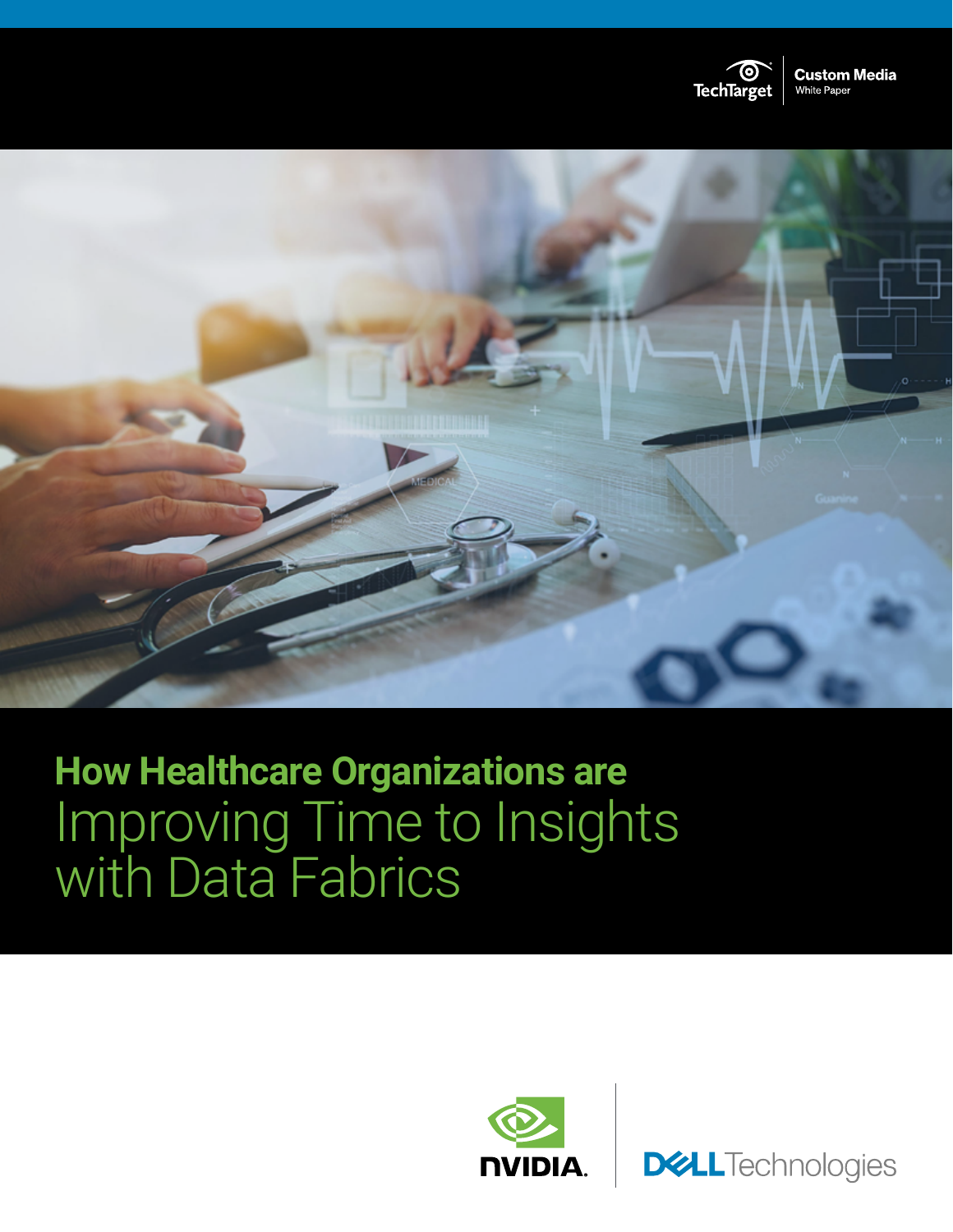



# **How Healthcare Organizations are** Improving Time to Insights with Data Fabrics



**DELL**Technologies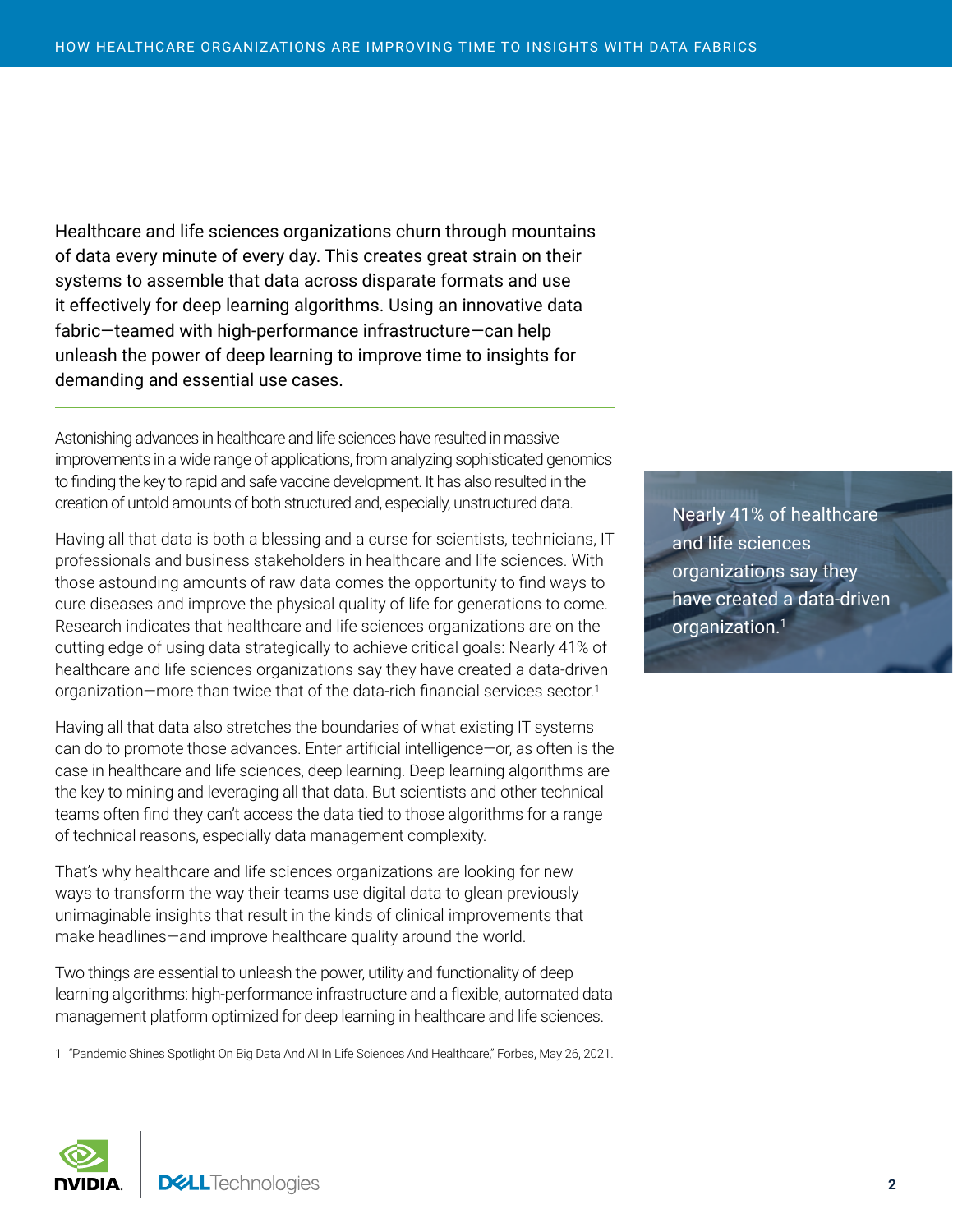Healthcare and life sciences organizations churn through mountains of data every minute of every day. This creates great strain on their systems to assemble that data across disparate formats and use it effectively for deep learning algorithms. Using an innovative data fabric—teamed with high-performance infrastructure—can help unleash the power of deep learning to improve time to insights for demanding and essential use cases.

Astonishing advances in healthcare and life sciences have resulted in massive improvements in a wide range of applications, from analyzing sophisticated genomics to finding the key to rapid and safe vaccine development. It has also resulted in the creation of untold amounts of both structured and, especially, unstructured data.

Having all that data is both a blessing and a curse for scientists, technicians, IT professionals and business stakeholders in healthcare and life sciences. With those astounding amounts of raw data comes the opportunity to find ways to cure diseases and improve the physical quality of life for generations to come. Research indicates that healthcare and life sciences organizations are on the cutting edge of using data strategically to achieve critical goals: Nearly 41% of healthcare and life sciences organizations say they have created a data-driven organization—more than twice that of the data-rich financial services sector.<sup>1</sup>

Having all that data also stretches the boundaries of what existing IT systems can do to promote those advances. Enter artificial intelligence—or, as often is the case in healthcare and life sciences, deep learning. Deep learning algorithms are the key to mining and leveraging all that data. But scientists and other technical teams often find they can't access the data tied to those algorithms for a range of technical reasons, especially data management complexity.

That's why healthcare and life sciences organizations are looking for new ways to transform the way their teams use digital data to glean previously unimaginable insights that result in the kinds of clinical improvements that make headlines—and improve healthcare quality around the world.

Two things are essential to unleash the power, utility and functionality of deep learning algorithms: high-performance infrastructure and a flexible, automated data management platform optimized for deep learning in healthcare and life sciences.

1 "[Pandemic Shines Spotlight On Big Data And AI In Life Sciences And Healthcare,](https://www.forbes.com/sites/randybean/2021/05/26/pandemic-shines-spotlight-on-big-data-and-ai-in-life-sciences-and-healthcare/?sh=26980a933e51)" Forbes, May 26, 2021.

Nearly 41% of healthcare and life sciences organizations say they have created a data-driven organization.1

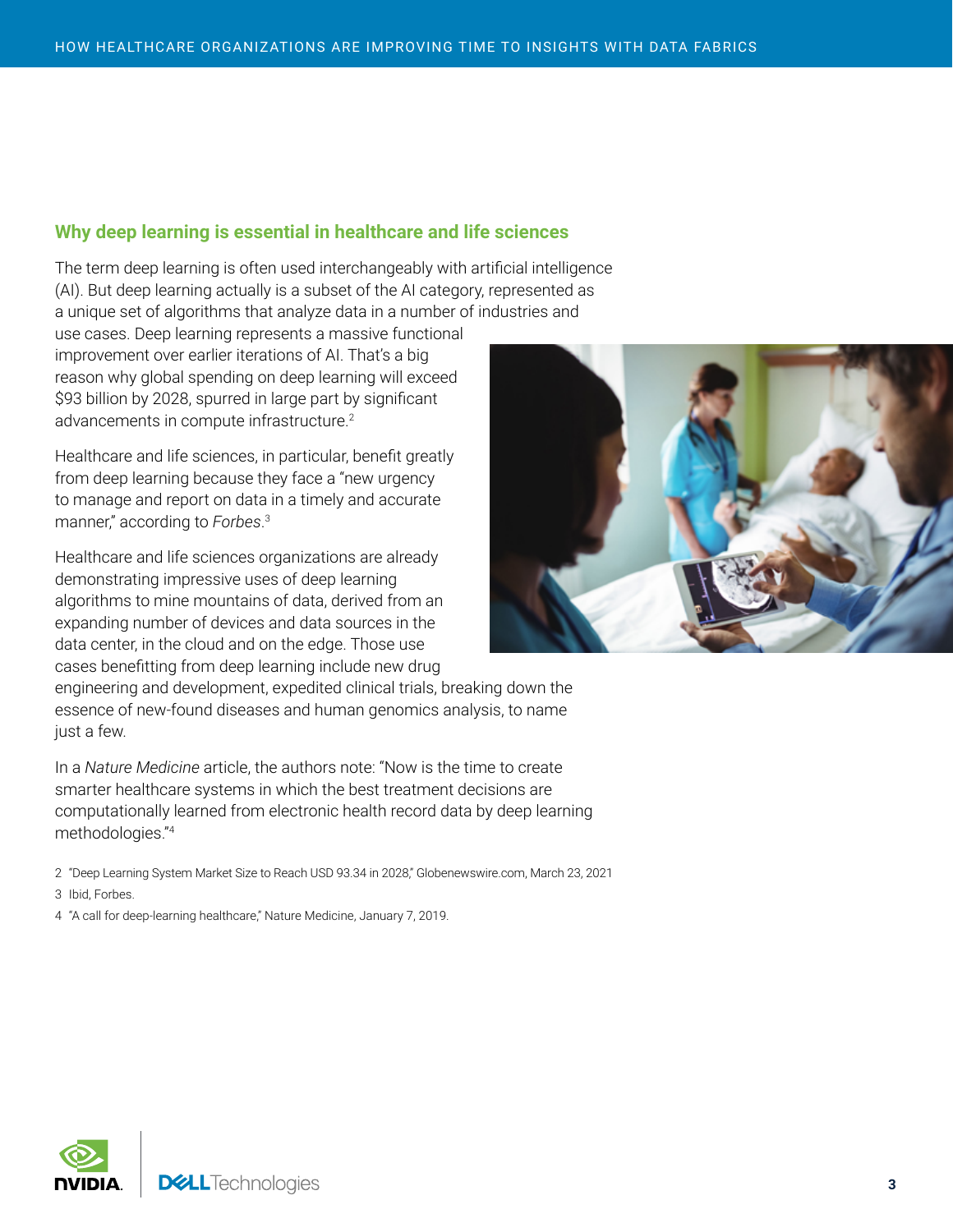### **Why deep learning is essential in healthcare and life sciences**

The term deep learning is often used interchangeably with artificial intelligence (AI). But deep learning actually is a subset of the AI category, represented as a unique set of algorithms that analyze data in a number of industries and

use cases. Deep learning represents a massive functional improvement over earlier iterations of AI. That's a big reason why global spending on deep learning will exceed \$93 billion by 2028, spurred in large part by significant advancements in compute infrastructure.<sup>2</sup>

Healthcare and life sciences, in particular, benefit greatly from deep learning because they face a "new urgency to manage and report on data in a timely and accurate manner," according to *Forbes*. 3

Healthcare and life sciences organizations are already demonstrating impressive uses of deep learning algorithms to mine mountains of data, derived from an expanding number of devices and data sources in the data center, in the cloud and on the edge. Those use cases benefitting from deep learning include new drug



engineering and development, expedited clinical trials, breaking down the essence of new-found diseases and human genomics analysis, to name just a few.

In a *Nature Medicine* article, the authors note: "Now is the time to create smarter healthcare systems in which the best treatment decisions are computationally learned from electronic health record data by deep learning methodologies."<sup>4</sup>

2 "[Deep Learning System Market Size to Reach USD 93.34 in 2028,](https://www.globenewswire.com/news-release/2021/03/23/2197902/0/en/Deep-Learning-System-Market-Size-to-Reach-USD-93-34-Billion-in-2028-Improvements-in-Computing-Power-and-Reduction-in-Hardware-Costs-will-Drive-the-Industry-Growth-says-Emergen-Rese.html)" Globenewswire.com, March 23, 2021

3 Ibid, Forbes.

4 ["A call for deep-learning healthcare,](https://www.nature.com/articles/s41591-018-0320-3)" Nature Medicine, January 7, 2019.

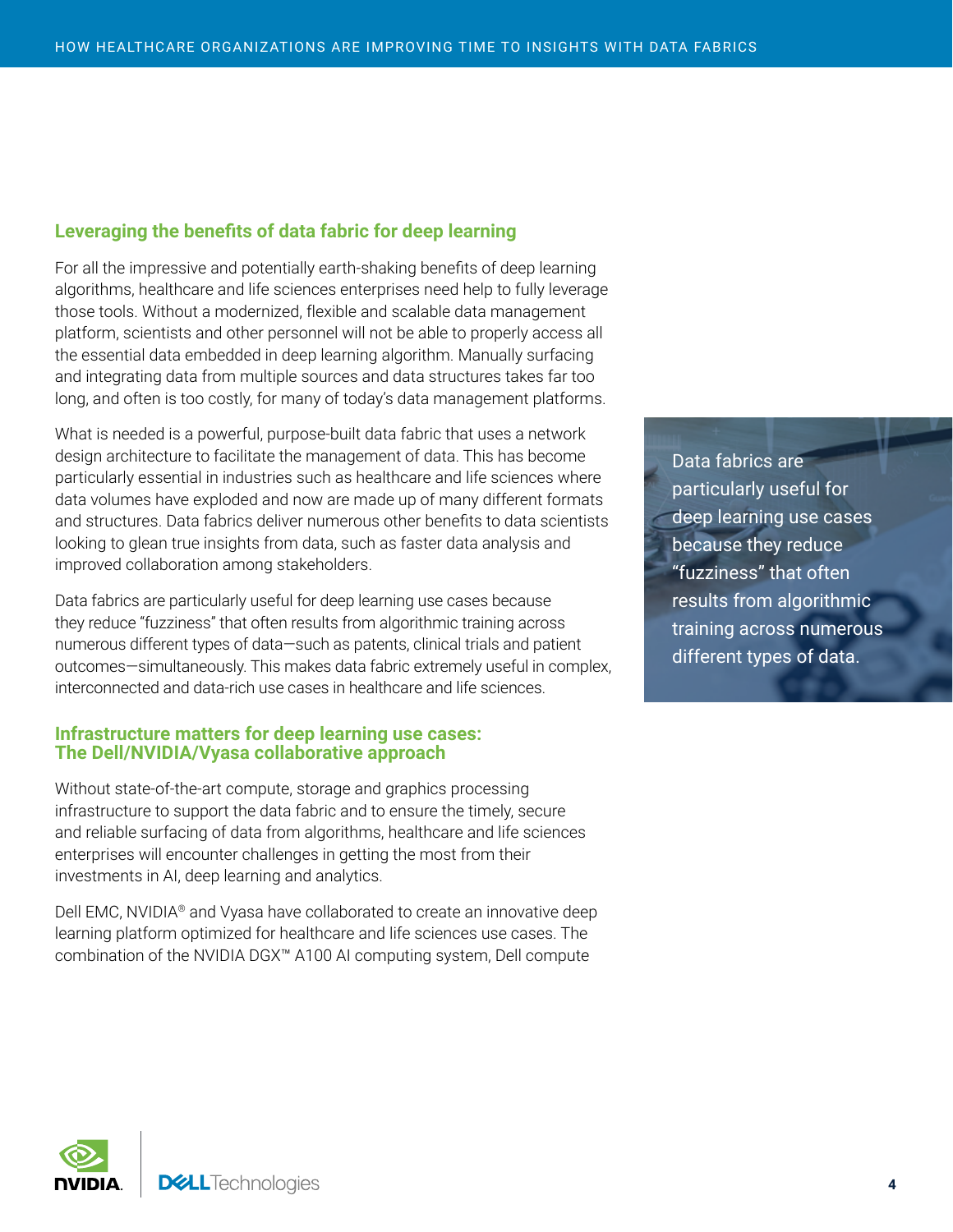## **Leveraging the benefits of data fabric for deep learning**

For all the impressive and potentially earth-shaking benefits of deep learning algorithms, healthcare and life sciences enterprises need help to fully leverage those tools. Without a modernized, flexible and scalable data management platform, scientists and other personnel will not be able to properly access all the essential data embedded in deep learning algorithm. Manually surfacing and integrating data from multiple sources and data structures takes far too long, and often is too costly, for many of today's data management platforms.

What is needed is a powerful, purpose-built data fabric that uses a network design architecture to facilitate the management of data. This has become particularly essential in industries such as healthcare and life sciences where data volumes have exploded and now are made up of many different formats and structures. Data fabrics deliver numerous other benefits to data scientists looking to glean true insights from data, such as faster data analysis and improved collaboration among stakeholders.

Data fabrics are particularly useful for deep learning use cases because they reduce "fuzziness" that often results from algorithmic training across numerous different types of data—such as patents, clinical trials and patient outcomes—simultaneously. This makes data fabric extremely useful in complex, interconnected and data-rich use cases in healthcare and life sciences.

#### **Infrastructure matters for deep learning use cases: The Dell/NVIDIA/Vyasa collaborative approach**

Without state-of-the-art compute, storage and graphics processing infrastructure to support the data fabric and to ensure the timely, secure and reliable surfacing of data from algorithms, healthcare and life sciences enterprises will encounter challenges in getting the most from their investments in AI, deep learning and analytics.

Dell EMC, NVIDIA® and Vyasa have collaborated to create an innovative deep learning platform optimized for healthcare and life sciences use cases. The combination of the NVIDIA DGX™ A100 AI computing system, Dell compute

Data fabrics are particularly useful for deep learning use cases because they reduce "fuzziness" that often results from algorithmic training across numerous different types of data.

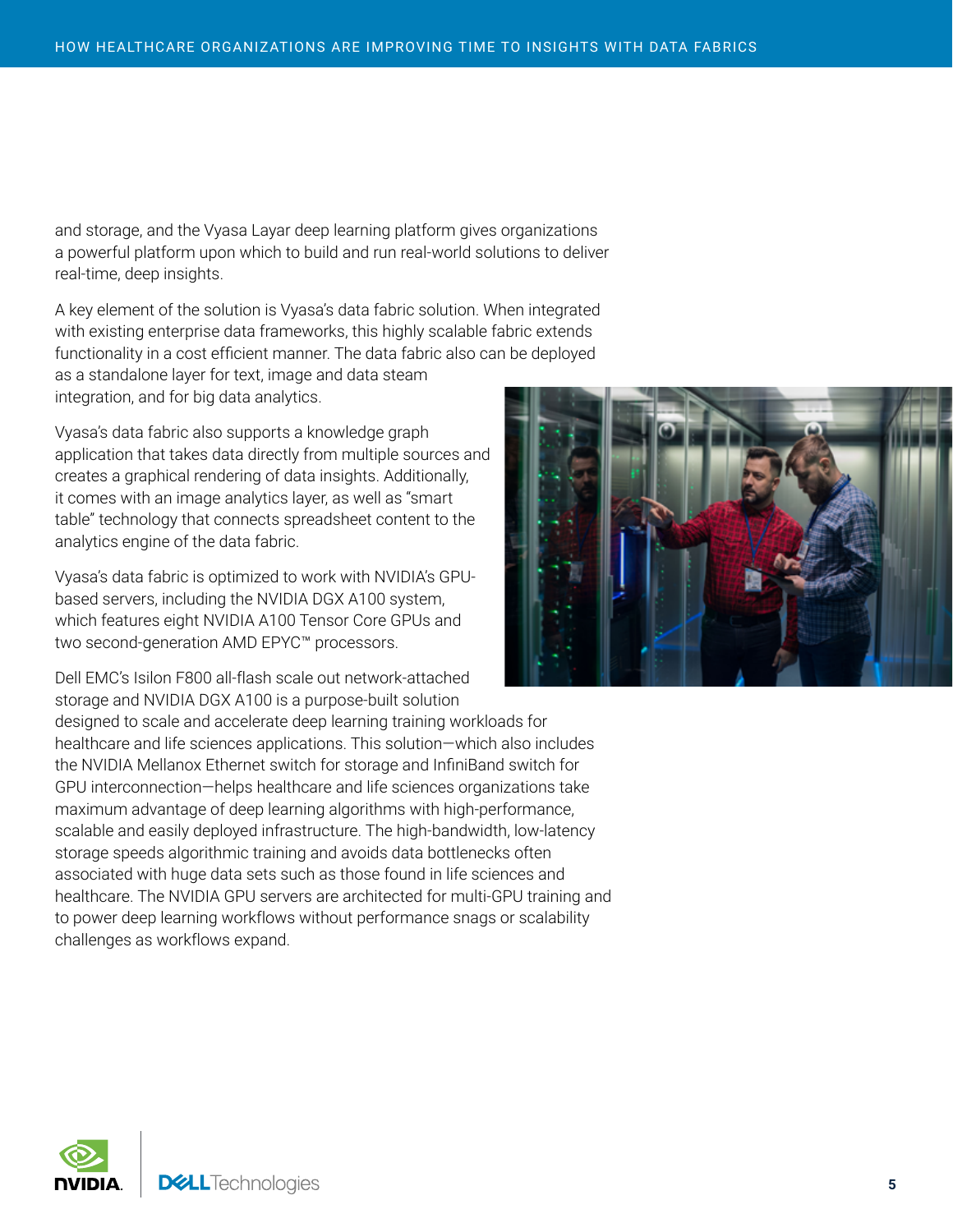and storage, and the Vyasa Layar deep learning platform gives organizations a powerful platform upon which to build and run real-world solutions to deliver real-time, deep insights.

A key element of the solution is Vyasa's data fabric solution. When integrated with existing enterprise data frameworks, this highly scalable fabric extends functionality in a cost efficient manner. The data fabric also can be deployed as a standalone layer for text, image and data steam integration, and for big data analytics.

Vyasa's data fabric also supports a knowledge graph application that takes data directly from multiple sources and creates a graphical rendering of data insights. Additionally, it comes with an image analytics layer, as well as "smart table" technology that connects spreadsheet content to the analytics engine of the data fabric.

Vyasa's data fabric is optimized to work with NVIDIA's GPUbased servers, including the NVIDIA DGX A100 system, which features eight NVIDIA A100 Tensor Core GPUs and two second-generation AMD EPYC™ processors.

Dell EMC's Isilon F800 all-flash scale out network-attached storage and NVIDIA DGX A100 is a purpose-built solution designed to scale and accelerate deep learning training workloads for healthcare and life sciences applications. This solution—which also includes the NVIDIA Mellanox Ethernet switch for storage and InfiniBand switch for GPU interconnection—helps healthcare and life sciences organizations take maximum advantage of deep learning algorithms with high-performance, scalable and easily deployed infrastructure. The high-bandwidth, low-latency storage speeds algorithmic training and avoids data bottlenecks often associated with huge data sets such as those found in life sciences and healthcare. The NVIDIA GPU servers are architected for multi-GPU training and to power deep learning workflows without performance snags or scalability challenges as workflows expand.